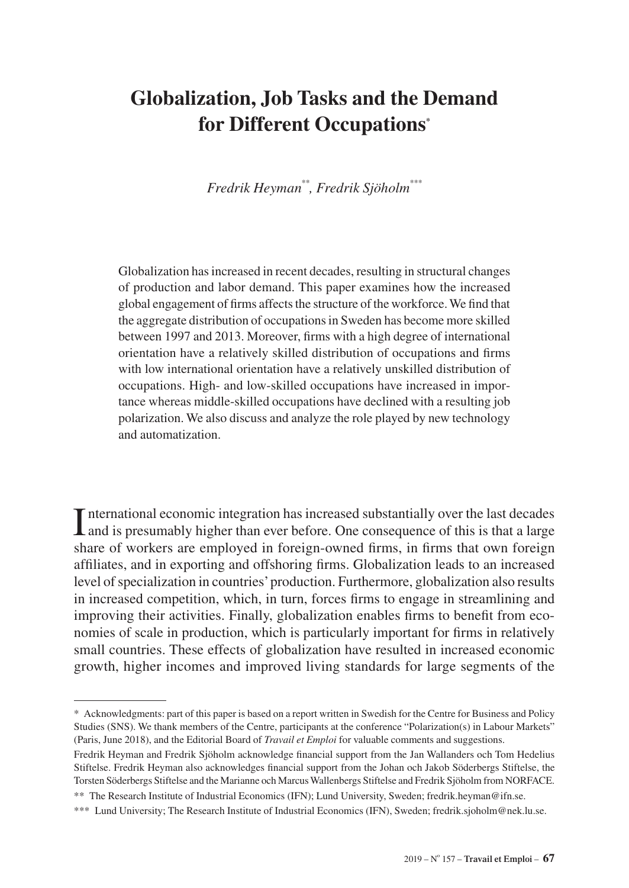# **Globalization, Job Tasks and the Demand for Different Occupations\***

*Fredrik Heyman\*\*, Fredrik Sjöholm\*\*\**

Globalization has increased in recent decades, resulting in structural changes of production and labor demand. This paper examines how the increased global engagement of firms affects the structure of the workforce. We find that the aggregate distribution of occupations in Sweden has become more skilled between 1997 and 2013. Moreover, firms with a high degree of international orientation have a relatively skilled distribution of occupations and firms with low international orientation have a relatively unskilled distribution of occupations. High- and low-skilled occupations have increased in importance whereas middle-skilled occupations have declined with a resulting job polarization. We also discuss and analyze the role played by new technology and automatization.

International economic integration has increased substantially over the last decades and is presumably higher than ever before. One consequence of this is that a large  $\perp$  and is presumably higher than ever before. One consequence of this is that a large share of workers are employed in foreign-owned firms, in firms that own foreign affiliates, and in exporting and offshoring firms. Globalization leads to an increased level of specialization in countries' production. Furthermore, globalization also results in increased competition, which, in turn, forces firms to engage in streamlining and improving their activities. Finally, globalization enables firms to benefit from economies of scale in production, which is particularly important for firms in relatively small countries. These effects of globalization have resulted in increased economic growth, higher incomes and improved living standards for large segments of the

<sup>\*</sup> Acknowledgments: part of this paper is based on a report written in Swedish for the Centre for Business and Policy Studies (SNS). We thank members of the Centre, participants at the conference "Polarization(s) in Labour Markets" (Paris, June 2018), and the Editorial Board of *Travail et Emploi* for valuable comments and suggestions.

Fredrik Heyman and Fredrik Sjöholm acknowledge financial support from the Jan Wallanders och Tom Hedelius Stiftelse. Fredrik Heyman also acknowledges financial support from the Johan och Jakob Söderbergs Stiftelse, the Torsten Söderbergs Stiftelse and the Marianne och Marcus Wallenbergs Stiftelse and Fredrik Sjöholm from NORFACE.

<sup>\*\*</sup> The Research Institute of Industrial Economics (IFN); Lund University, Sweden; [fredrik.heyman@ifn.se](mailto:fredrik.heyman%40ifn.se?subject=).

<sup>\*\*\*</sup> Lund University; The Research Institute of Industrial Economics (IFN), Sweden; [fredrik.sjoholm@nek.lu.se](mailto:fredrik.sjoholm%40nek.lu.se?subject=).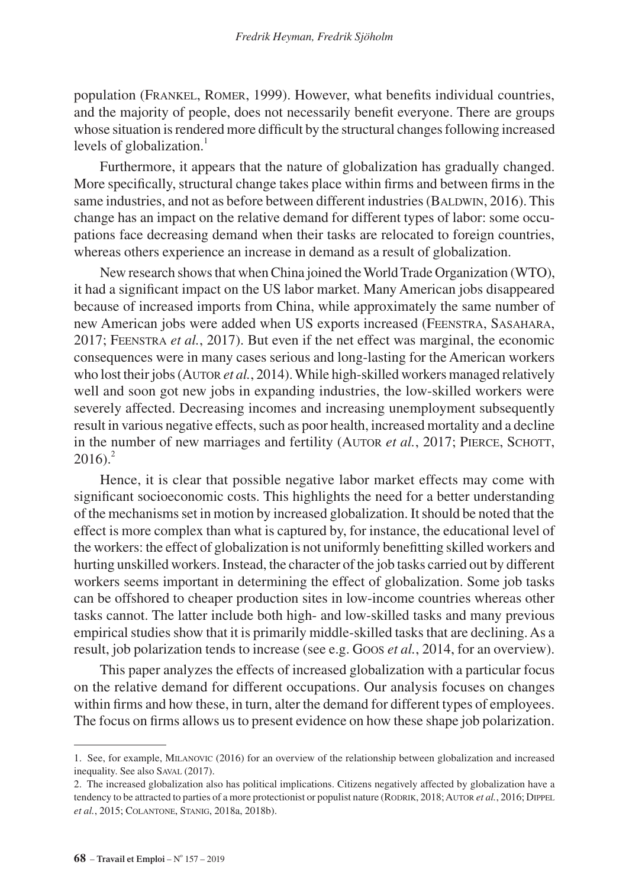population (Frankel, Romer, 1999). However, what benefits individual countries, and the majority of people, does not necessarily benefit everyone. There are groups whose situation is rendered more difficult by the structural changes following increased levels of globalization.<sup>1</sup>

Furthermore, it appears that the nature of globalization has gradually changed. More specifically, structural change takes place within firms and between firms in the same industries, and not as before between different industries (BALDWIN, 2016). This change has an impact on the relative demand for different types of labor: some occupations face decreasing demand when their tasks are relocated to foreign countries, whereas others experience an increase in demand as a result of globalization.

New research shows that when China joined the World Trade Organization (WTO), it had a significant impact on the US labor market. Many American jobs disappeared because of increased imports from China, while approximately the same number of new American jobs were added when US exports increased (Feenstra, Sasahara, 2017; Feenstra *et al.*, 2017). But even if the net effect was marginal, the economic consequences were in many cases serious and long-lasting for the American workers who lost their jobs (AUTOR *et al.*, 2014). While high-skilled workers managed relatively well and soon got new jobs in expanding industries, the low-skilled workers were severely affected. Decreasing incomes and increasing unemployment subsequently result in various negative effects, such as poor health, increased mortality and a decline in the number of new marriages and fertility (AUTOR *et al.*, 2017; PIERCE, SCHOTT,  $2016$ )<sup>2</sup>

Hence, it is clear that possible negative labor market effects may come with significant socioeconomic costs. This highlights the need for a better understanding of the mechanisms set in motion by increased globalization. It should be noted that the effect is more complex than what is captured by, for instance, the educational level of the workers: the effect of globalization is not uniformly benefitting skilled workers and hurting unskilled workers. Instead, the character of the job tasks carried out by different workers seems important in determining the effect of globalization. Some job tasks can be offshored to cheaper production sites in low-income countries whereas other tasks cannot. The latter include both high- and low-skilled tasks and many previous empirical studies show that it is primarily middle-skilled tasks that are declining. As a result, job polarization tends to increase (see e.g. Goos *et al.*, 2014, for an overview).

This paper analyzes the effects of increased globalization with a particular focus on the relative demand for different occupations. Our analysis focuses on changes within firms and how these, in turn, alter the demand for different types of employees. The focus on firms allows us to present evidence on how these shape job polarization.

<sup>1.</sup> See, for example, Milanovic (2016) for an overview of the relationship between globalization and increased inequality. See also SAVAL (2017).

<sup>2.</sup> The increased globalization also has political implications. Citizens negatively affected by globalization have a tendency to be attracted to parties of a more protectionist or populist nature (RODRIK, 2018; AUTOR *et al.*, 2016; DIPPEL *et al.*, 2015; Colantone, Stanig, 2018a, 2018b).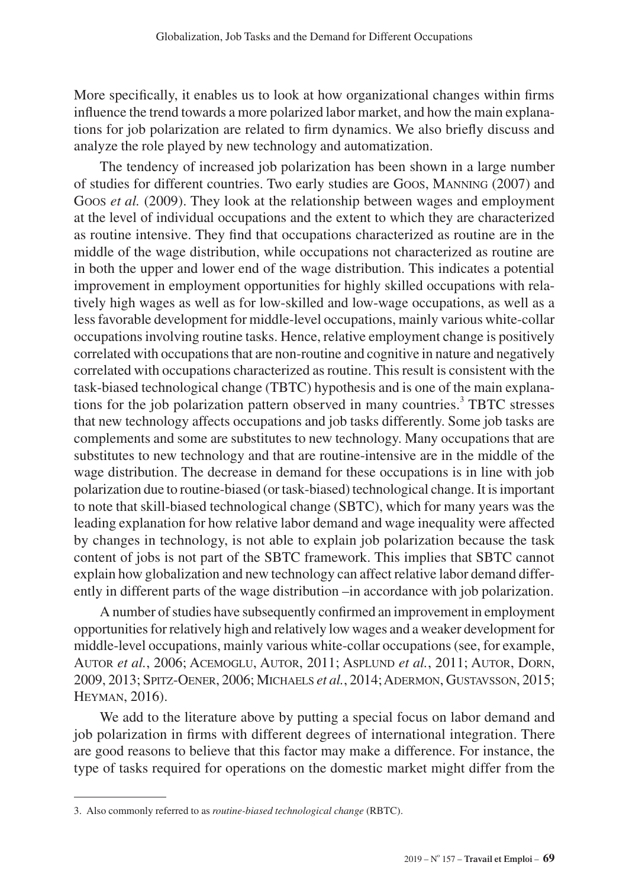More specifically, it enables us to look at how organizational changes within firms influence the trend towards a more polarized labor market, and how the main explanations for job polarization are related to firm dynamics. We also briefly discuss and analyze the role played by new technology and automatization.

The tendency of increased job polarization has been shown in a large number of studies for different countries. Two early studies are Goos, Manning (2007) and Goos *et al.* (2009). They look at the relationship between wages and employment at the level of individual occupations and the extent to which they are characterized as routine intensive. They find that occupations characterized as routine are in the middle of the wage distribution, while occupations not characterized as routine are in both the upper and lower end of the wage distribution. This indicates a potential improvement in employment opportunities for highly skilled occupations with relatively high wages as well as for low-skilled and low-wage occupations, as well as a less favorable development for middle-level occupations, mainly various white-collar occupations involving routine tasks. Hence, relative employment change is positively correlated with occupations that are non-routine and cognitive in nature and negatively correlated with occupations characterized as routine. This result is consistent with the task-biased technological change (TBTC) hypothesis and is one of the main explanations for the job polarization pattern observed in many countries.<sup>3</sup> TBTC stresses that new technology affects occupations and job tasks differently. Some job tasks are complements and some are substitutes to new technology. Many occupations that are substitutes to new technology and that are routine-intensive are in the middle of the wage distribution. The decrease in demand for these occupations is in line with job polarization due to routine-biased (or task-biased) technological change. It is important to note that skill-biased technological change (SBTC), which for many years was the leading explanation for how relative labor demand and wage inequality were affected by changes in technology, is not able to explain job polarization because the task content of jobs is not part of the SBTC framework. This implies that SBTC cannot explain how globalization and new technology can affect relative labor demand differently in different parts of the wage distribution –in accordance with job polarization.

A number of studies have subsequently confirmed an improvement in employment opportunities for relatively high and relatively low wages and a weaker development for middle-level occupations, mainly various white-collar occupations (see, for example, AUTOR *et al.*, 2006; ACEMOGLU, AUTOR, 2011; ASPLUND *et al.*, 2011; AUTOR, DORN, 2009, 2013; Spitz-Oener, 2006; Michaels *et al.*, 2014; Adermon, Gustavsson, 2015; Heyman, 2016).

We add to the literature above by putting a special focus on labor demand and job polarization in firms with different degrees of international integration. There are good reasons to believe that this factor may make a difference. For instance, the type of tasks required for operations on the domestic market might differ from the

<sup>3.</sup> Also commonly referred to as *routine-biased technological change* (RBTC).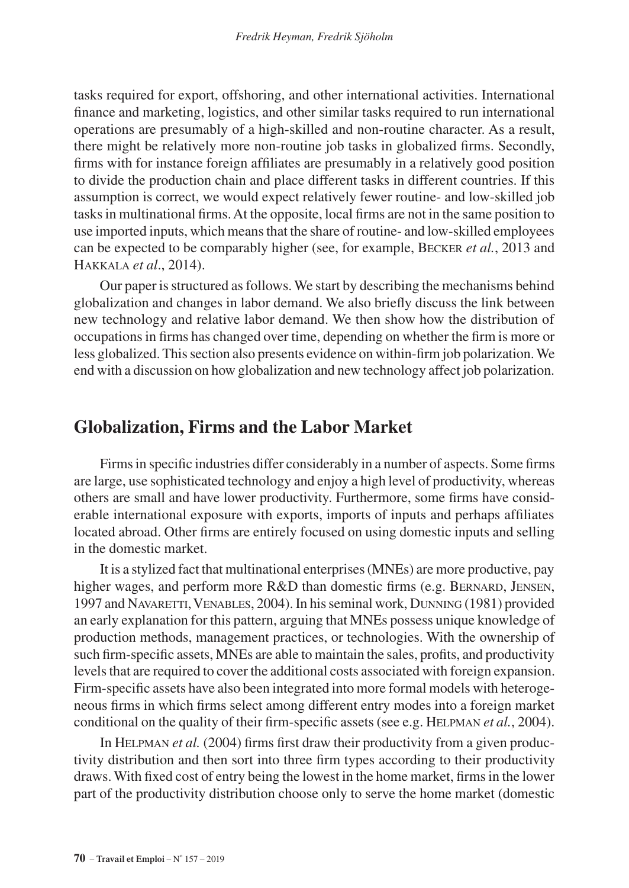tasks required for export, offshoring, and other international activities. International finance and marketing, logistics, and other similar tasks required to run international operations are presumably of a high-skilled and non-routine character. As a result, there might be relatively more non-routine job tasks in globalized firms. Secondly, firms with for instance foreign affiliates are presumably in a relatively good position to divide the production chain and place different tasks in different countries. If this assumption is correct, we would expect relatively fewer routine- and low-skilled job tasks in multinational firms. At the opposite, local firms are not in the same position to use imported inputs, which means that the share of routine- and low-skilled employees can be expected to be comparably higher (see, for example, Becker *et al.*, 2013 and Hakkala *et al*., 2014).

Our paper is structured as follows. We start by describing the mechanisms behind globalization and changes in labor demand. We also briefly discuss the link between new technology and relative labor demand. We then show how the distribution of occupations in firms has changed over time, depending on whether the firm is more or less globalized. This section also presents evidence on within-firm job polarization. We end with a discussion on how globalization and new technology affect job polarization.

## **Globalization, Firms and the Labor Market**

Firms in specific industries differ considerably in a number of aspects. Some firms are large, use sophisticated technology and enjoy a high level of productivity, whereas others are small and have lower productivity. Furthermore, some firms have considerable international exposure with exports, imports of inputs and perhaps affiliates located abroad. Other firms are entirely focused on using domestic inputs and selling in the domestic market.

It is a stylized fact that multinational enterprises (MNEs) are more productive, pay higher wages, and perform more R&D than domestic firms (e.g. BERNARD, JENSEN, 1997 and NAVARETTI, VENABLES, 2004). In his seminal work, DUNNING (1981) provided an early explanation for this pattern, arguing that MNEs possess unique knowledge of production methods, management practices, or technologies. With the ownership of such firm-specific assets, MNEs are able to maintain the sales, profits, and productivity levels that are required to cover the additional costs associated with foreign expansion. Firm-specific assets have also been integrated into more formal models with heterogeneous firms in which firms select among different entry modes into a foreign market conditional on the quality of their firm-specific assets (see e.g. Helpman *et al.*, 2004).

In Helpman *et al.* (2004) firms first draw their productivity from a given productivity distribution and then sort into three firm types according to their productivity draws. With fixed cost of entry being the lowest in the home market, firms in the lower part of the productivity distribution choose only to serve the home market (domestic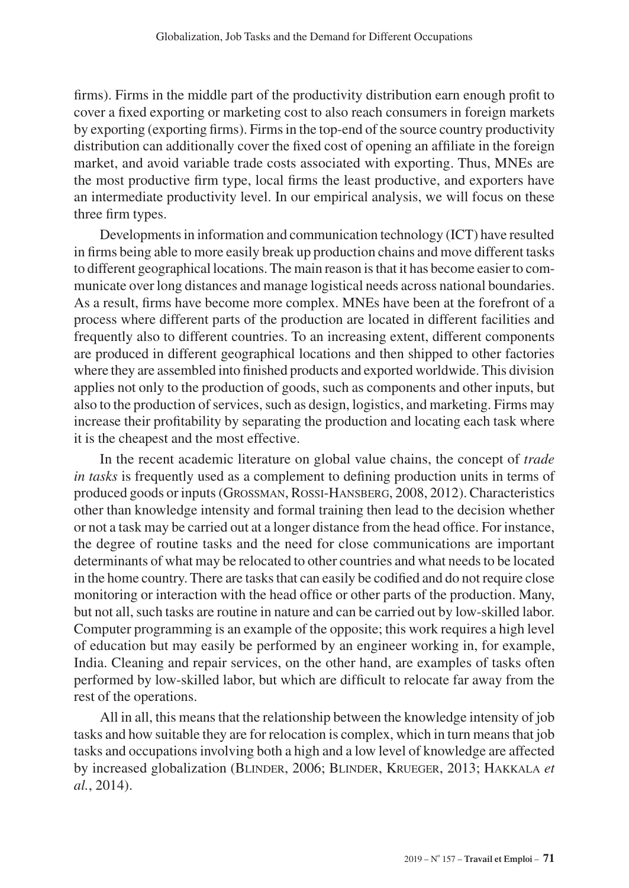firms). Firms in the middle part of the productivity distribution earn enough profit to cover a fixed exporting or marketing cost to also reach consumers in foreign markets by exporting (exporting firms). Firms in the top-end of the source country productivity distribution can additionally cover the fixed cost of opening an affiliate in the foreign market, and avoid variable trade costs associated with exporting. Thus, MNEs are the most productive firm type, local firms the least productive, and exporters have an intermediate productivity level. In our empirical analysis, we will focus on these three firm types.

Developments in information and communication technology (ICT) have resulted in firms being able to more easily break up production chains and move different tasks to different geographical locations. The main reason is that it has become easier to communicate over long distances and manage logistical needs across national boundaries. As a result, firms have become more complex. MNEs have been at the forefront of a process where different parts of the production are located in different facilities and frequently also to different countries. To an increasing extent, different components are produced in different geographical locations and then shipped to other factories where they are assembled into finished products and exported worldwide. This division applies not only to the production of goods, such as components and other inputs, but also to the production of services, such as design, logistics, and marketing. Firms may increase their profitability by separating the production and locating each task where it is the cheapest and the most effective.

In the recent academic literature on global value chains, the concept of *trade in tasks* is frequently used as a complement to defining production units in terms of produced goods or inputs (Grossman, Rossi-Hansberg, 2008, 2012). Characteristics other than knowledge intensity and formal training then lead to the decision whether or not a task may be carried out at a longer distance from the head office. For instance, the degree of routine tasks and the need for close communications are important determinants of what may be relocated to other countries and what needs to be located in the home country. There are tasks that can easily be codified and do not require close monitoring or interaction with the head office or other parts of the production. Many, but not all, such tasks are routine in nature and can be carried out by low-skilled labor. Computer programming is an example of the opposite; this work requires a high level of education but may easily be performed by an engineer working in, for example, India. Cleaning and repair services, on the other hand, are examples of tasks often performed by low-skilled labor, but which are difficult to relocate far away from the rest of the operations.

All in all, this means that the relationship between the knowledge intensity of job tasks and how suitable they are for relocation is complex, which in turn means that job tasks and occupations involving both a high and a low level of knowledge are affected by increased globalization (Blinder, 2006; Blinder, Krueger, 2013; Hakkala *et al.*, 2014).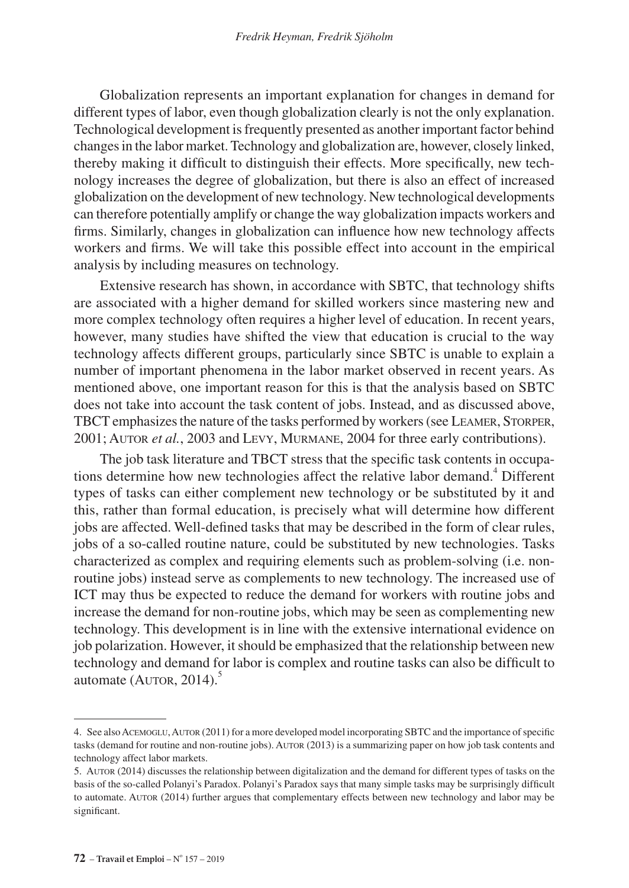Globalization represents an important explanation for changes in demand for different types of labor, even though globalization clearly is not the only explanation. Technological development is frequently presented as another important factor behind changes in the labor market. Technology and globalization are, however, closely linked, thereby making it difficult to distinguish their effects. More specifically, new technology increases the degree of globalization, but there is also an effect of increased globalization on the development of new technology. New technological developments can therefore potentially amplify or change the way globalization impacts workers and firms. Similarly, changes in globalization can influence how new technology affects workers and firms. We will take this possible effect into account in the empirical analysis by including measures on technology.

Extensive research has shown, in accordance with SBTC, that technology shifts are associated with a higher demand for skilled workers since mastering new and more complex technology often requires a higher level of education. In recent years, however, many studies have shifted the view that education is crucial to the way technology affects different groups, particularly since SBTC is unable to explain a number of important phenomena in the labor market observed in recent years. As mentioned above, one important reason for this is that the analysis based on SBTC does not take into account the task content of jobs. Instead, and as discussed above, TBCT emphasizes the nature of the tasks performed by workers (see Leamer, Storper, 2001; Autor *et al.*, 2003 and Levy, Murmane, 2004 for three early contributions).

The job task literature and TBCT stress that the specific task contents in occupations determine how new technologies affect the relative labor demand.<sup>4</sup> Different types of tasks can either complement new technology or be substituted by it and this, rather than formal education, is precisely what will determine how different jobs are affected. Well-defined tasks that may be described in the form of clear rules, jobs of a so-called routine nature, could be substituted by new technologies. Tasks characterized as complex and requiring elements such as problem-solving (i.e. nonroutine jobs) instead serve as complements to new technology. The increased use of ICT may thus be expected to reduce the demand for workers with routine jobs and increase the demand for non-routine jobs, which may be seen as complementing new technology. This development is in line with the extensive international evidence on job polarization. However, it should be emphasized that the relationship between new technology and demand for labor is complex and routine tasks can also be difficult to automate (AUTOR,  $2014$ ).<sup>5</sup>

<sup>4.</sup> See also Acemoglu, Autor (2011) for a more developed model incorporating SBTC and the importance of specific tasks (demand for routine and non-routine jobs). Autor (2013) is a summarizing paper on how job task contents and technology affect labor markets.

<sup>5.</sup> Autor (2014) discusses the relationship between digitalization and the demand for different types of tasks on the basis of the so-called Polanyi's Paradox. Polanyi's Paradox says that many simple tasks may be surprisingly difficult to automate. AUTOR (2014) further argues that complementary effects between new technology and labor may be significant.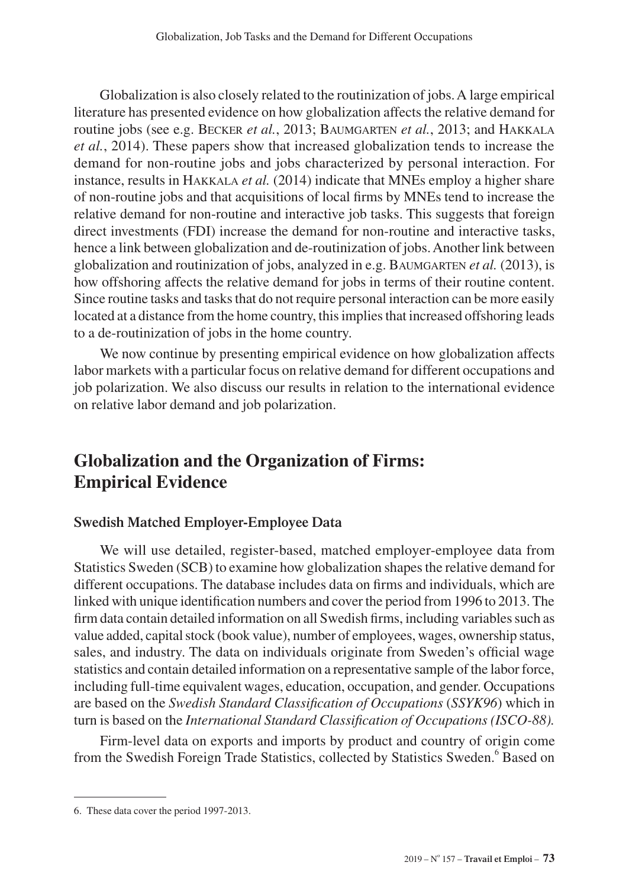Globalization is also closely related to the routinization of jobs. A large empirical literature has presented evidence on how globalization affects the relative demand for routine jobs (see e.g. Becker *et al.*, 2013; Baumgarten *et al.*, 2013; and Hakkala *et al.*, 2014). These papers show that increased globalization tends to increase the demand for non-routine jobs and jobs characterized by personal interaction. For instance, results in Hakkala *et al.* (2014) indicate that MNEs employ a higher share of non-routine jobs and that acquisitions of local firms by MNEs tend to increase the relative demand for non-routine and interactive job tasks. This suggests that foreign direct investments (FDI) increase the demand for non-routine and interactive tasks, hence a link between globalization and de-routinization of jobs. Another link between globalization and routinization of jobs, analyzed in e.g. Baumgarten *et al.* (2013), is how offshoring affects the relative demand for jobs in terms of their routine content. Since routine tasks and tasks that do not require personal interaction can be more easily located at a distance from the home country, this implies that increased offshoring leads to a de-routinization of jobs in the home country.

We now continue by presenting empirical evidence on how globalization affects labor markets with a particular focus on relative demand for different occupations and job polarization. We also discuss our results in relation to the international evidence on relative labor demand and job polarization.

## **Globalization and the Organization of Firms: Empirical Evidence**

### **Swedish Matched Employer-Employee Data**

We will use detailed, register-based, matched employer-employee data from Statistics Sweden (SCB) to examine how globalization shapes the relative demand for different occupations. The database includes data on firms and individuals, which are linked with unique identification numbers and cover the period from 1996 to 2013. The firm data contain detailed information on all Swedish firms, including variables such as value added, capital stock (book value), number of employees, wages, ownership status, sales, and industry. The data on individuals originate from Sweden's official wage statistics and contain detailed information on a representative sample of the labor force, including full-time equivalent wages, education, occupation, and gender. Occupations are based on the *Swedish Standard Classification of Occupations* (*SSYK96*) which in turn is based on the *International Standard Classification of Occupations (ISCO-88).*

Firm-level data on exports and imports by product and country of origin come from the Swedish Foreign Trade Statistics, collected by Statistics Sweden.<sup>6</sup> Based on

<sup>6.</sup> These data cover the period 1997-2013.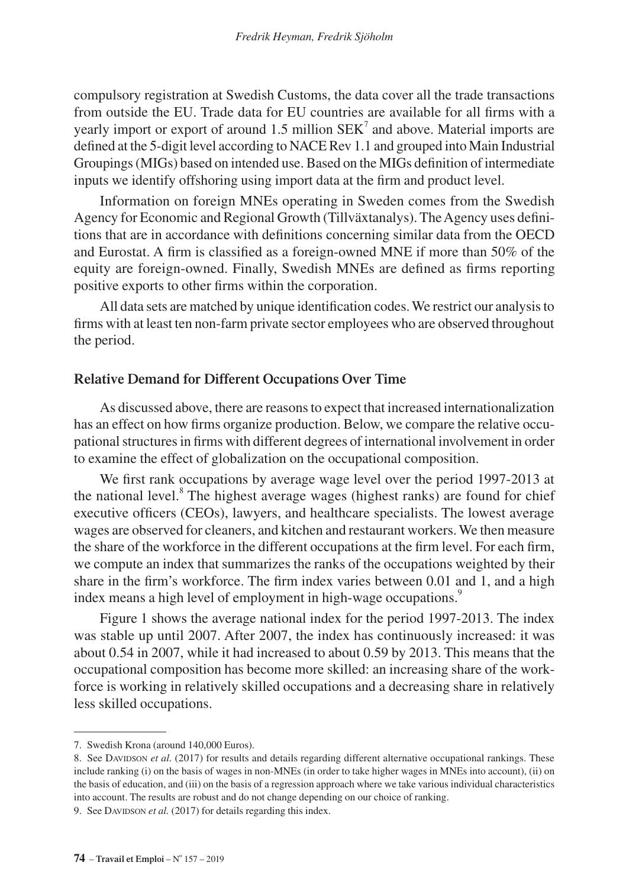compulsory registration at Swedish Customs, the data cover all the trade transactions from outside the EU. Trade data for EU countries are available for all firms with a yearly import or export of around 1.5 million  $SEK<sup>7</sup>$  and above. Material imports are defined at the 5-digit level according to NACE Rev 1.1 and grouped into Main Industrial Groupings (MIGs) based on intended use. Based on the MIGs definition of intermediate inputs we identify offshoring using import data at the firm and product level.

Information on foreign MNEs operating in Sweden comes from the Swedish Agency for Economic and Regional Growth (Tillväxtanalys). The Agency uses definitions that are in accordance with definitions concerning similar data from the OECD and Eurostat. A firm is classified as a foreign-owned MNE if more than 50% of the equity are foreign-owned. Finally, Swedish MNEs are defined as firms reporting positive exports to other firms within the corporation.

All data sets are matched by unique identification codes. We restrict our analysis to firms with at least ten non-farm private sector employees who are observed throughout the period.

#### **Relative Demand for Different Occupations Over Time**

As discussed above, there are reasons to expect that increased internationalization has an effect on how firms organize production. Below, we compare the relative occupational structures in firms with different degrees of international involvement in order to examine the effect of globalization on the occupational composition.

We first rank occupations by average wage level over the period 1997-2013 at the national level.<sup>8</sup> The highest average wages (highest ranks) are found for chief executive officers (CEOs), lawyers, and healthcare specialists. The lowest average wages are observed for cleaners, and kitchen and restaurant workers. We then measure the share of the workforce in the different occupations at the firm level. For each firm, we compute an index that summarizes the ranks of the occupations weighted by their share in the firm's workforce. The firm index varies between 0.01 and 1, and a high index means a high level of employment in high-wage occupations.<sup>9</sup>

Figure 1 shows the average national index for the period 1997-2013. The index was stable up until 2007. After 2007, the index has continuously increased: it was about 0.54 in 2007, while it had increased to about 0.59 by 2013. This means that the occupational composition has become more skilled: an increasing share of the workforce is working in relatively skilled occupations and a decreasing share in relatively less skilled occupations.

<sup>7.</sup> Swedish Krona (around 140,000 Euros).

<sup>8.</sup> See DaviDson *et al.* (2017) for results and details regarding different alternative occupational rankings. These include ranking (i) on the basis of wages in non-MNEs (in order to take higher wages in MNEs into account), (ii) on the basis of education, and (iii) on the basis of a regression approach where we take various individual characteristics into account. The results are robust and do not change depending on our choice of ranking. 9. See DAVIDSON *et al.* (2017) for details regarding this index.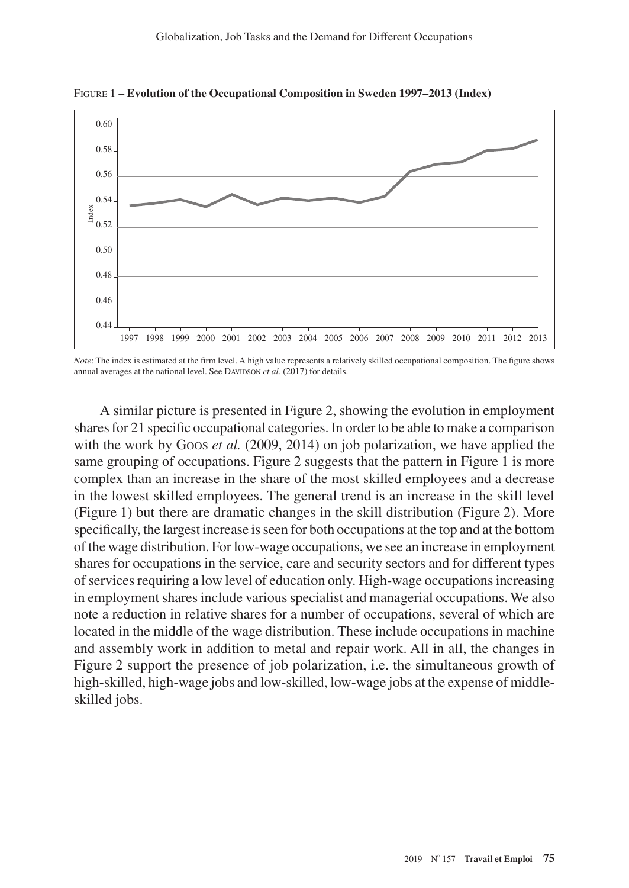

Figure 1 – **Evolution of the Occupational Composition in Sweden 1997–2013 (Index)**

*Note*: The index is estimated at the firm level. A high value represents a relatively skilled occupational composition. The figure shows annual averages at the national level. See DAVIDSON et al. (2017) for details.

A similar picture is presented in Figure 2, showing the evolution in employment shares for 21 specific occupational categories. In order to be able to make a comparison with the work by Goos *et al.* (2009, 2014) on job polarization, we have applied the same grouping of occupations. Figure 2 suggests that the pattern in Figure 1 is more complex than an increase in the share of the most skilled employees and a decrease in the lowest skilled employees. The general trend is an increase in the skill level (Figure 1) but there are dramatic changes in the skill distribution (Figure 2). More specifically, the largest increase is seen for both occupations at the top and at the bottom of the wage distribution. For low-wage occupations, we see an increase in employment shares for occupations in the service, care and security sectors and for different types of services requiring a low level of education only. High-wage occupations increasing in employment shares include various specialist and managerial occupations. We also note a reduction in relative shares for a number of occupations, several of which are located in the middle of the wage distribution. These include occupations in machine and assembly work in addition to metal and repair work. All in all, the changes in Figure 2 support the presence of job polarization, i.e. the simultaneous growth of high-skilled, high-wage jobs and low-skilled, low-wage jobs at the expense of middleskilled jobs.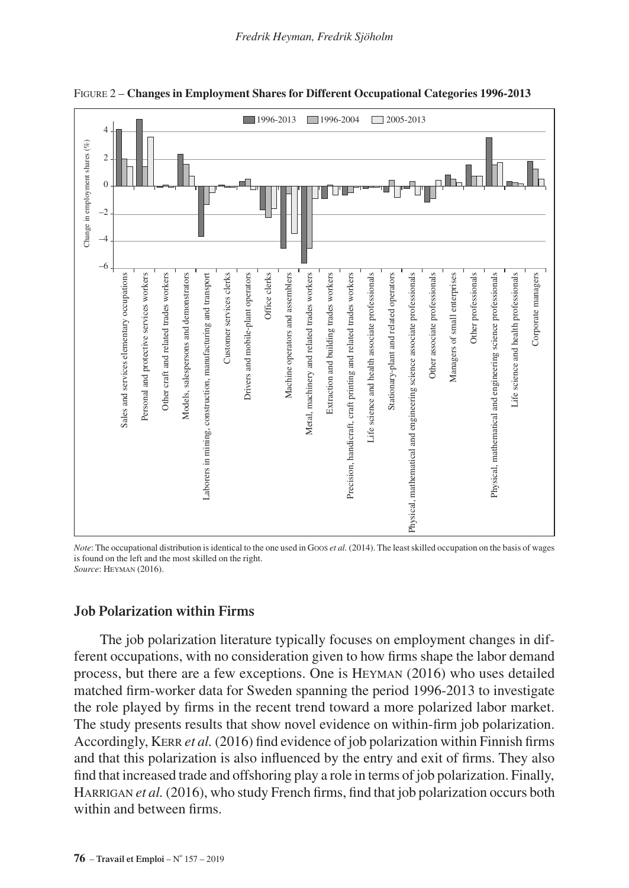

Figure 2 – **Changes in Employment Shares for Different Occupational Categories 1996-2013**

*Note*: The occupational distribution is identical to the one used in Goos *et al.* (2014). The least skilled occupation on the basis of wages is found on the left and the most skilled on the right. *Source*: Heyman (2016).

#### **Job Polarization within Firms**

The job polarization literature typically focuses on employment changes in different occupations, with no consideration given to how firms shape the labor demand process, but there are a few exceptions. One is Heyman (2016) who uses detailed matched firm-worker data for Sweden spanning the period 1996-2013 to investigate the role played by firms in the recent trend toward a more polarized labor market. The study presents results that show novel evidence on within-firm job polarization. Accordingly, Kerr *et al.* (2016) find evidence of job polarization within Finnish firms and that this polarization is also influenced by the entry and exit of firms. They also find that increased trade and offshoring play a role in terms of job polarization. Finally, HARRIGAN *et al.* (2016), who study French firms, find that job polarization occurs both within and between firms.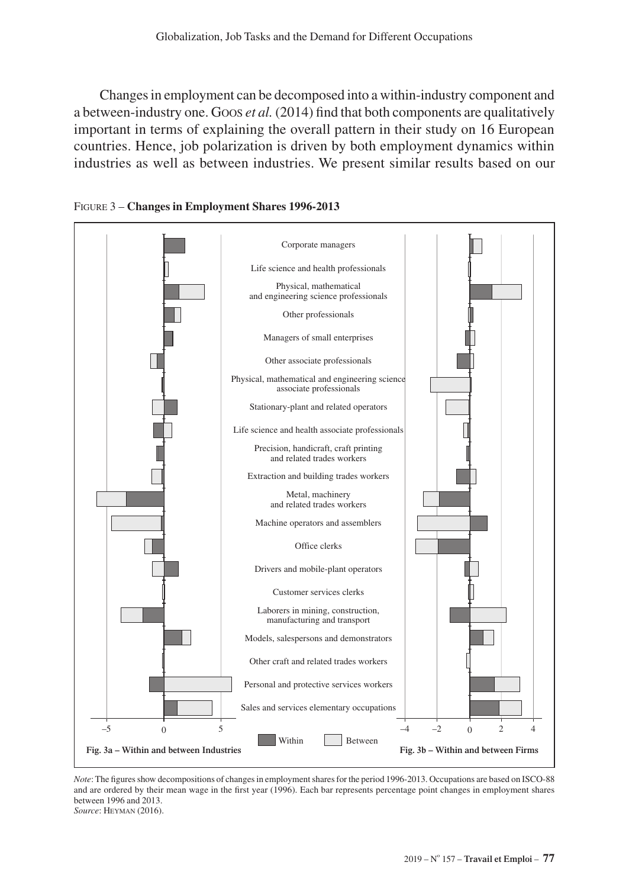Changes in employment can be decomposed into a within-industry component and a between-industry one. Goos *et al.* (2014) find that both components are qualitatively important in terms of explaining the overall pattern in their study on 16 European countries. Hence, job polarization is driven by both employment dynamics within industries as well as between industries. We present similar results based on our



Figure 3 – **Changes in Employment Shares 1996-2013**

*Note*: The figures show decompositions of changes in employment shares for the period 1996-2013. Occupations are based on ISCO-88 and are ordered by their mean wage in the first year (1996). Each bar represents percentage point changes in employment shares between 1996 and 2013. *Source*: Heyman (2016).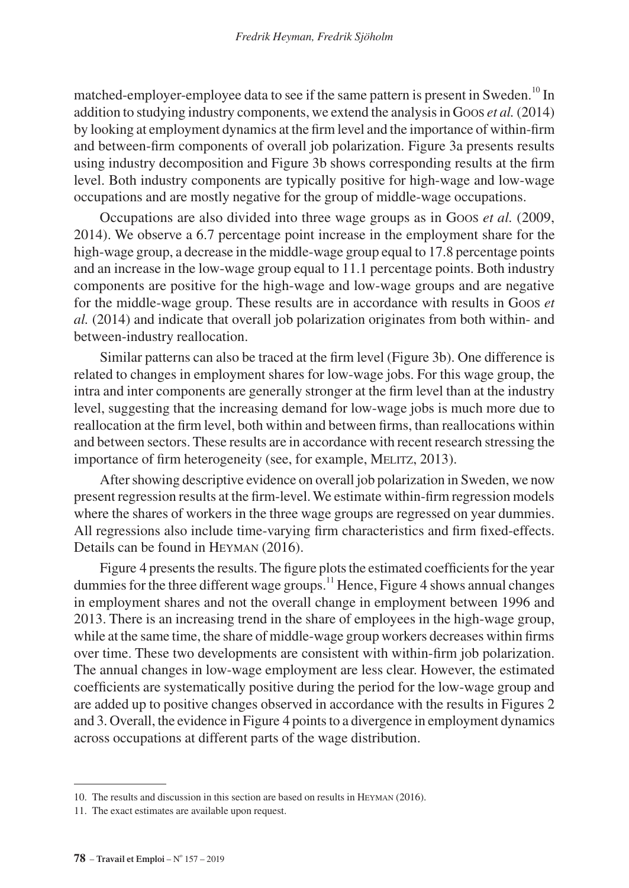matched-employer-employee data to see if the same pattern is present in Sweden.<sup>10</sup> In addition to studying industry components, we extend the analysis in Goos *et al.* (2014) by looking at employment dynamics at the firm level and the importance of within-firm and between-firm components of overall job polarization. Figure 3a presents results using industry decomposition and Figure 3b shows corresponding results at the firm level. Both industry components are typically positive for high-wage and low-wage occupations and are mostly negative for the group of middle-wage occupations.

Occupations are also divided into three wage groups as in Goos *et al.* (2009, 2014). We observe a 6.7 percentage point increase in the employment share for the high-wage group, a decrease in the middle-wage group equal to 17.8 percentage points and an increase in the low-wage group equal to 11.1 percentage points. Both industry components are positive for the high-wage and low-wage groups and are negative for the middle-wage group. These results are in accordance with results in Goos *et al.* (2014) and indicate that overall job polarization originates from both within- and between-industry reallocation.

Similar patterns can also be traced at the firm level (Figure 3b). One difference is related to changes in employment shares for low-wage jobs. For this wage group, the intra and inter components are generally stronger at the firm level than at the industry level, suggesting that the increasing demand for low-wage jobs is much more due to reallocation at the firm level, both within and between firms, than reallocations within and between sectors. These results are in accordance with recent research stressing the importance of firm heterogeneity (see, for example, MELITZ, 2013).

After showing descriptive evidence on overall job polarization in Sweden, we now present regression results at the firm-level. We estimate within-firm regression models where the shares of workers in the three wage groups are regressed on year dummies. All regressions also include time-varying firm characteristics and firm fixed-effects. Details can be found in Heyman (2016).

Figure 4 presents the results. The figure plots the estimated coefficients for the year dummies for the three different wage groups.<sup>11</sup> Hence, Figure 4 shows annual changes in employment shares and not the overall change in employment between 1996 and 2013. There is an increasing trend in the share of employees in the high-wage group, while at the same time, the share of middle-wage group workers decreases within firms over time. These two developments are consistent with within-firm job polarization. The annual changes in low-wage employment are less clear. However, the estimated coefficients are systematically positive during the period for the low-wage group and are added up to positive changes observed in accordance with the results in Figures 2 and 3. Overall, the evidence in Figure 4 points to a divergence in employment dynamics across occupations at different parts of the wage distribution.

<sup>10.</sup> The results and discussion in this section are based on results in Heyman (2016).

<sup>11.</sup> The exact estimates are available upon request.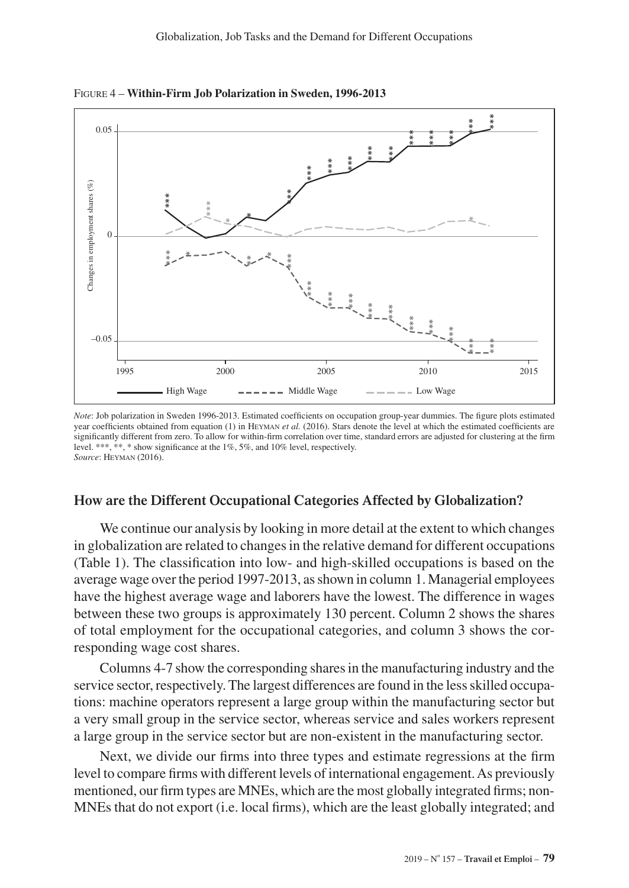

Figure 4 – **Within-Firm Job Polarization in Sweden, 1996-2013**

*Note*: Job polarization in Sweden 1996-2013. Estimated coefficients on occupation group-year dummies. The figure plots estimated year coefficients obtained from equation (1) in Heyman *et al.* (2016). Stars denote the level at which the estimated coefficients are significantly different from zero. To allow for within-firm correlation over time, standard errors are adjusted for clustering at the firm level. \*\*\*, \*\*, \* show significance at the 1%, 5%, and 10% level, respectively. *Source*: Heyman (2016).

#### **How are the Different Occupational Categories Affected by Globalization?**

We continue our analysis by looking in more detail at the extent to which changes in globalization are related to changes in the relative demand for different occupations (Table 1). The classification into low- and high-skilled occupations is based on the average wage over the period 1997-2013, as shown in column 1. Managerial employees have the highest average wage and laborers have the lowest. The difference in wages between these two groups is approximately 130 percent. Column 2 shows the shares of total employment for the occupational categories, and column 3 shows the corresponding wage cost shares.

Columns 4-7 show the corresponding shares in the manufacturing industry and the service sector, respectively. The largest differences are found in the less skilled occupations: machine operators represent a large group within the manufacturing sector but a very small group in the service sector, whereas service and sales workers represent a large group in the service sector but are non-existent in the manufacturing sector.

Next, we divide our firms into three types and estimate regressions at the firm level to compare firms with different levels of international engagement. As previously mentioned, our firm types are MNEs, which are the most globally integrated firms; non-MNEs that do not export (i.e. local firms), which are the least globally integrated; and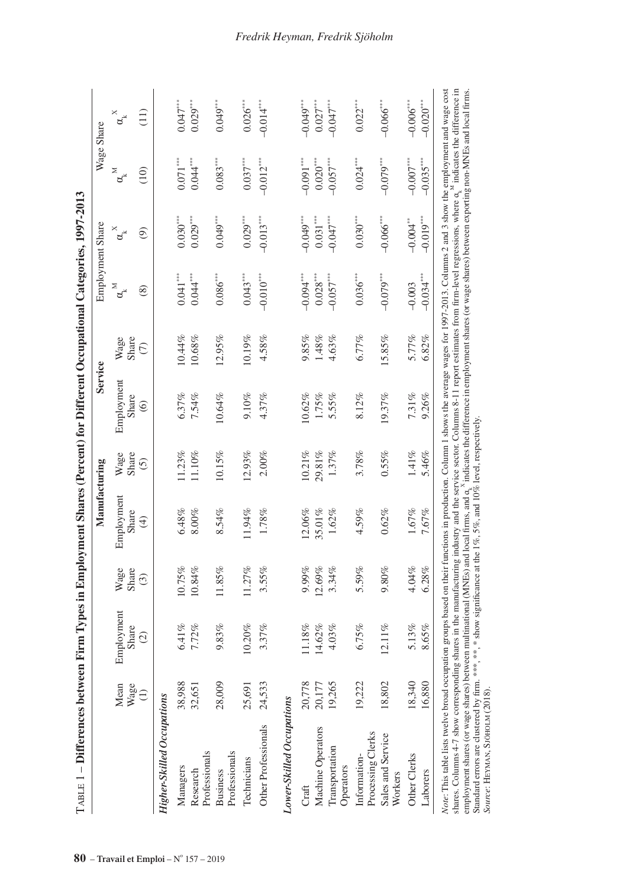| $T_{ABLE}1-D$ ifferences between Firm Types in Employment Shares (Percent) for Different Occupational Categories, 1997-2013                                                                                                                                                                                                                                                                                                                                                                                                                                                                             |           |            |         | Manufacturing                                                                                                                                                                         |           | Service        |           |                           | Employment Share         |                           | Wage Share              |
|---------------------------------------------------------------------------------------------------------------------------------------------------------------------------------------------------------------------------------------------------------------------------------------------------------------------------------------------------------------------------------------------------------------------------------------------------------------------------------------------------------------------------------------------------------------------------------------------------------|-----------|------------|---------|---------------------------------------------------------------------------------------------------------------------------------------------------------------------------------------|-----------|----------------|-----------|---------------------------|--------------------------|---------------------------|-------------------------|
|                                                                                                                                                                                                                                                                                                                                                                                                                                                                                                                                                                                                         | Mean      | Employment | Wage    | Employment                                                                                                                                                                            | Wage      | Employment     | Wage      | $\alpha_{\rm k}^{\rm M}$  | $\alpha_{\rm k}^{\rm x}$ | $\alpha_{\rm K}^{\rm M}$  | $a^*_{\ast}$            |
|                                                                                                                                                                                                                                                                                                                                                                                                                                                                                                                                                                                                         | Wage      | Share      | Share   | Share                                                                                                                                                                                 | Share     | Share          | Share     |                           |                          |                           |                         |
|                                                                                                                                                                                                                                                                                                                                                                                                                                                                                                                                                                                                         | $\ominus$ | $\odot$    | $\odot$ | $\bigoplus$                                                                                                                                                                           | $\odot$   | $\circledcirc$ | $\in$     | $\circledS$               | $\circledcirc$           | (10)                      | (11)                    |
| <b>Higher-Skilled Occupations</b>                                                                                                                                                                                                                                                                                                                                                                                                                                                                                                                                                                       |           |            |         |                                                                                                                                                                                       |           |                |           |                           |                          |                           |                         |
| Managers                                                                                                                                                                                                                                                                                                                                                                                                                                                                                                                                                                                                | 38,988    | 6.41%      | 0.75%   | $6.48\%$                                                                                                                                                                              | $11.23\%$ | 6.37%          | 0.44%     | $0.041***$                | $0.030***$               | $0.071***$                | $0.047***$              |
| Professionals<br>Research                                                                                                                                                                                                                                                                                                                                                                                                                                                                                                                                                                               | 32,651    | 7.72%      | 10.84%  | $8.00\%$                                                                                                                                                                              | 11.10%    | 7.54%          | $10.68\%$ | $0.044***$                | $0.029***$               | $0.044***$                | $0.029***$              |
| Professionals<br><b>Business</b>                                                                                                                                                                                                                                                                                                                                                                                                                                                                                                                                                                        | 28,009    | 9.83%      | 11.85%  | 8.54%                                                                                                                                                                                 | 10.15%    | 10.64%         | 12.95%    | $0.086^{\circ\circ\circ}$ | $0.049***$               | $0.083^{\circ\circ\circ}$ | $0.049***$              |
| Technicians                                                                                                                                                                                                                                                                                                                                                                                                                                                                                                                                                                                             | 25,691    | 10.20%     | 11.27%  | 1.94%                                                                                                                                                                                 | 12.93%    | 9.10%          | 0.19%     | $0.043***$                | 0.029                    | $0.037***$                | $0.026***$              |
| Other Professionals                                                                                                                                                                                                                                                                                                                                                                                                                                                                                                                                                                                     | 24,533    | 3.37%      | 3.55%   | 1.78%                                                                                                                                                                                 | 2.00%     | 4.37%          | 4.58%     | $-0.010***$               | $-0.013***$              | $-0.012***$               | $-0.014***$             |
| Lower-Skilled Occupations                                                                                                                                                                                                                                                                                                                                                                                                                                                                                                                                                                               |           |            |         |                                                                                                                                                                                       |           |                |           |                           |                          |                           |                         |
| Craft                                                                                                                                                                                                                                                                                                                                                                                                                                                                                                                                                                                                   | 20,778    | 1.18%      | 9.99%   | $12.06\%$                                                                                                                                                                             | 10.21%    | $10.62\%$      | 9.85%     | $-0.094$ ****             | $-0.049$                 | $-0.091***$               | $-0.049$ ***            |
| Machine Operators                                                                                                                                                                                                                                                                                                                                                                                                                                                                                                                                                                                       | 20,177    | 14.62%     | 12.69%  | 35.01%                                                                                                                                                                                | 29.81%    | 1.75%          | $1.48\%$  | $0.028^{\ast\ast\ast}$    | $0.031***$               | $0.020^{\ast\ast\ast}$    | $0.027^{\ast\ast\ast}$  |
| Transportation<br>Operators                                                                                                                                                                                                                                                                                                                                                                                                                                                                                                                                                                             | 19,265    | 4.03%      | 3.34%   | 1.62%                                                                                                                                                                                 | 1.37%     | 5.55%          | 4.63%     | $-0.057$                  | $-0.047$                 | $-0.057***$               | $-0.047***$             |
| Processing Clerks<br>Information-                                                                                                                                                                                                                                                                                                                                                                                                                                                                                                                                                                       | 19,222    | 6.75%      | 5.59%   | 4.59%                                                                                                                                                                                 | 3.78%     | 8.12%          | 6.77%     | $0.036***$                | $0.030^{\ast\ast\ast}$   | $0.024***$                | $0.022***$              |
| Sales and Service<br>Workers                                                                                                                                                                                                                                                                                                                                                                                                                                                                                                                                                                            | 18,802    | $12.11\%$  | 9.80%   | 0.62%                                                                                                                                                                                 | 0.55%     | 19.37%         | 15.85%    | $-0.079$ <sup>***</sup>   | $-0.066$ <sup>****</sup> | $-0.079***$               | $-0.066$ <sup>***</sup> |
| Other Clerks                                                                                                                                                                                                                                                                                                                                                                                                                                                                                                                                                                                            | 18,340    | 5.13%      | 4.04%   | 1.67%                                                                                                                                                                                 | $1.41\%$  | 7.31%          | 5.77%     | $-0.003$                  | $-0.004$                 | $-0.007***$               | $-0.006$ <sup>***</sup> |
| Laborers                                                                                                                                                                                                                                                                                                                                                                                                                                                                                                                                                                                                | 16,880    | 8.65%      | 6.28%   | 7.67%                                                                                                                                                                                 | 5.46%     | 9.26%          | 6.82%     | $-0.034***$               | $-0.019***$              | $-0.035***$               | $-0.020***$             |
| Note: This table lists twelve broad occupation groups based on their functions in production. Column 1 shows the average wages for 1997-2013. Columns 2 and 3 show the employment and wage cost<br>employment shares (or wage shares) between multinational (MNEs) and local firms, and $a_s^N$ indicates the difference in employment shares (or wage shares) between exporting non-MNEs and local firms.<br>Standard errors are clustered by firm. ***, **, * show significance at the 1%, 5%, and 10% level, respectively<br>shares. Columns 4-7 show correspondi<br>Source: HEYMAN, SJÖHOLM (2018). |           |            |         | ng shares in the manufacturing industry and the service sector. Columns 8-11 report estimates from firm-level regressions, where $\alpha_{\rm s}^{\rm M}$ indicates the difference in |           |                |           |                           |                          |                           |                         |

#### *Fredrik Heyman, Fredrik Sjöholm*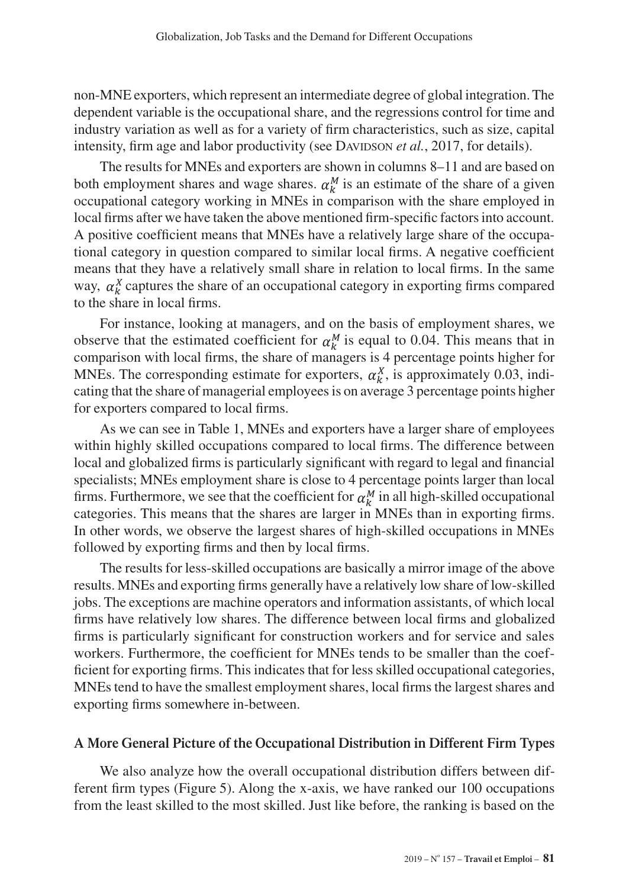non-MNE exporters, which represent an intermediate degree of global integration. The dependent variable is the occupational share, and the regressions control for time and industry variation as well as for a variety of firm characteristics, such as size, capital intensity, firm age and labor productivity (see DAVIDSON *et al.*, 2017, for details).

The results for MNEs and exporters are shown in columns 8–11 and are based on both employment shares and wage shares.  $\alpha_k^M$  is an estimate of the share of a given occupational category working in MNEs in comparison with the share employed in local firms after we have taken the above mentioned firm-specific factors into account. A positive coefficient means that MNEs have a relatively large share of the occupational category in question compared to similar local firms. A negative coefficient means that they have a relatively small share in relation to local firms. In the same way,  $\alpha_k^X$  captures the share of an occupational category in exporting firms compared to the share in local firms.

For instance, looking at managers, and on the basis of employment shares, we observe that the estimated coefficient for  $\alpha_k^M$  is equal to 0.04. This means that in comparison with local firms, the share of managers is 4 percentage points higher for MNEs. The corresponding estimate for exporters,  $\alpha_k^X$ , is approximately 0.03, indicating that the share of managerial employees is on average 3 percentage points higher for exporters compared to local firms.

As we can see in Table 1, MNEs and exporters have a larger share of employees within highly skilled occupations compared to local firms. The difference between local and globalized firms is particularly significant with regard to legal and financial specialists; MNEs employment share is close to 4 percentage points larger than local firms. Furthermore, we see that the coefficient for  $\alpha_k^M$  in all high-skilled occupational categories. This means that the shares are larger in MNEs than in exporting firms. In other words, we observe the largest shares of high-skilled occupations in MNEs followed by exporting firms and then by local firms.

The results for less-skilled occupations are basically a mirror image of the above results. MNEs and exporting firms generally have a relatively low share of low-skilled jobs. The exceptions are machine operators and information assistants, of which local firms have relatively low shares. The difference between local firms and globalized firms is particularly significant for construction workers and for service and sales workers. Furthermore, the coefficient for MNEs tends to be smaller than the coefficient for exporting firms. This indicates that for less skilled occupational categories, MNEs tend to have the smallest employment shares, local firms the largest shares and exporting firms somewhere in-between.

#### **A More General Picture of the Occupational Distribution in Different Firm Types**

We also analyze how the overall occupational distribution differs between different firm types (Figure 5). Along the x-axis, we have ranked our 100 occupations from the least skilled to the most skilled. Just like before, the ranking is based on the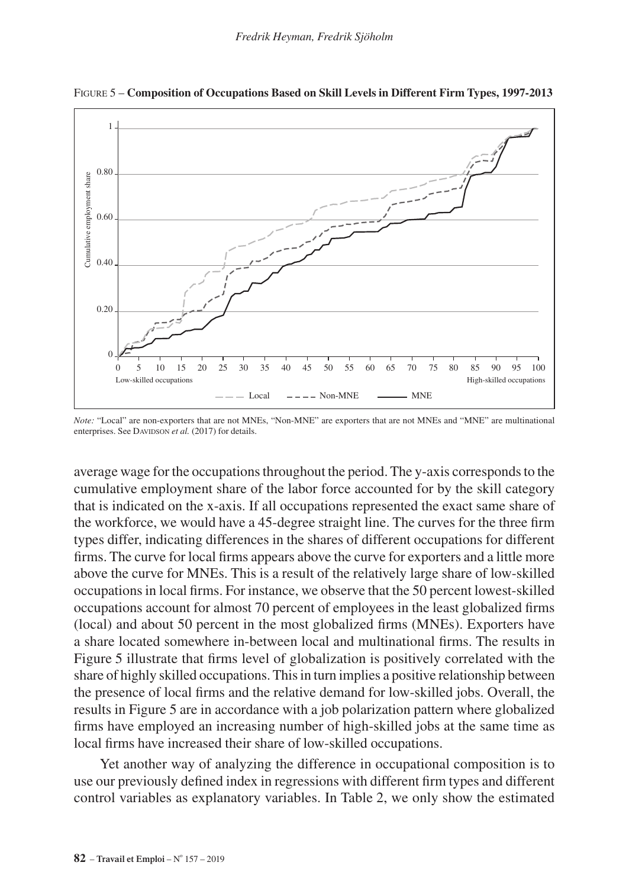

Figure 5 – **Composition of Occupations Based on Skill Levels in Different Firm Types, 1997-2013**

*Note:* "Local" are non-exporters that are not MNEs, "Non-MNE" are exporters that are not MNEs and "MNE" are multinational enterprises. See DAVIDSON et al. (2017) for details.

average wage for the occupations throughout the period. The y-axis corresponds to the cumulative employment share of the labor force accounted for by the skill category that is indicated on the x-axis. If all occupations represented the exact same share of the workforce, we would have a 45-degree straight line. The curves for the three firm types differ, indicating differences in the shares of different occupations for different firms. The curve for local firms appears above the curve for exporters and a little more above the curve for MNEs. This is a result of the relatively large share of low-skilled occupations in local firms. For instance, we observe that the 50 percent lowest-skilled occupations account for almost 70 percent of employees in the least globalized firms (local) and about 50 percent in the most globalized firms (MNEs). Exporters have a share located somewhere in-between local and multinational firms. The results in Figure 5 illustrate that firms level of globalization is positively correlated with the share of highly skilled occupations. This in turn implies a positive relationship between the presence of local firms and the relative demand for low-skilled jobs. Overall, the results in Figure 5 are in accordance with a job polarization pattern where globalized firms have employed an increasing number of high-skilled jobs at the same time as local firms have increased their share of low-skilled occupations.

Yet another way of analyzing the difference in occupational composition is to use our previously defined index in regressions with different firm types and different control variables as explanatory variables. In Table 2, we only show the estimated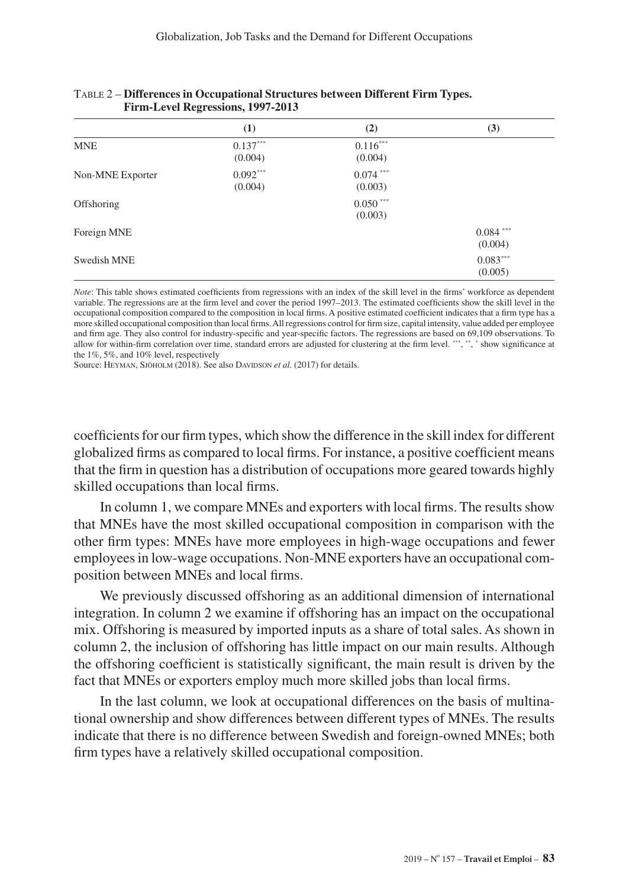|                  | (1)                   | (2)                   | (3)                    |
|------------------|-----------------------|-----------------------|------------------------|
| <b>MNE</b>       | $0.137***$<br>(0.004) | $0.116***$<br>(0.004) |                        |
| Non-MNE Exporter | $0.092***$<br>(0.004) | $0.074***$<br>(0.003) |                        |
| Offshoring       |                       | $0.050***$<br>(0.003) |                        |
| Foreign MNE      |                       |                       | $0.084$ ***<br>(0.004) |
| Swedish MNE      |                       |                       | $0.083***$<br>(0.005)  |

| <b>TABLE 2 – Differences in Occupational Structures between Different Firm Types.</b> |  |
|---------------------------------------------------------------------------------------|--|
| Firm-Level Regressions, 1997-2013                                                     |  |

*Note*: This table shows estimated coefficients from regressions with an index of the skill level in the firms' workforce as dependent variable. The regressions are at the firm level and cover the period 1997–2013. The estimated coefficients show the skill level in the occupational composition compared to the composition in local firms. A positive estimated coefficient indicates that a firm type has a more skilled occupational composition than local firms. All regressions control for firm size, capital intensity, value added per employee and firm age. They also control for industry-specific and year-specific factors. The regressions are based on 69,109 observations. To allow for within-firm correlation over time, standard errors are adjusted for clustering at the firm level. \*\*\*, \*\*, \* show significance at the 1%, 5%, and 10% level, respectively

Source: HEYMAN, SJÖHOLM (2018). See also DAVIDSON *et al.* (2017) for details.

coefficients for our firm types, which show the difference in the skill index for different globalized firms as compared to local firms. For instance, a positive coefficient means that the firm in question has a distribution of occupations more geared towards highly skilled occupations than local firms.

In column 1, we compare MNEs and exporters with local firms. The results show that MNEs have the most skilled occupational composition in comparison with the other firm types: MNEs have more employees in high-wage occupations and fewer employees in low-wage occupations. Non-MNE exporters have an occupational composition between MNEs and local firms.

We previously discussed offshoring as an additional dimension of international integration. In column 2 we examine if offshoring has an impact on the occupational mix. Offshoring is measured by imported inputs as a share of total sales. As shown in column 2, the inclusion of offshoring has little impact on our main results. Although the offshoring coefficient is statistically significant, the main result is driven by the fact that MNEs or exporters employ much more skilled jobs than local firms.

In the last column, we look at occupational differences on the basis of multinational ownership and show differences between different types of MNEs. The results indicate that there is no difference between Swedish and foreign-owned MNEs; both firm types have a relatively skilled occupational composition.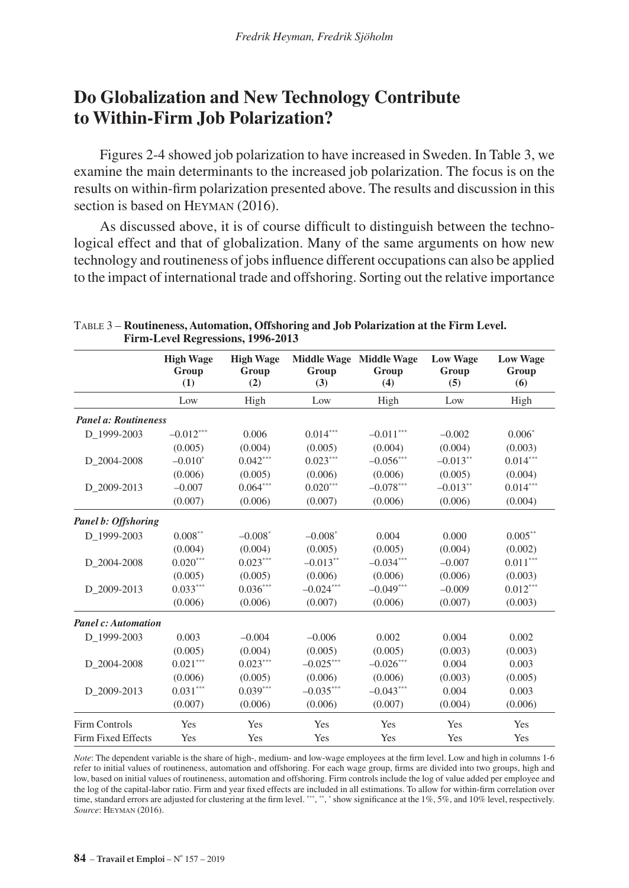## **Do Globalization and New Technology Contribute to Within-Firm Job Polarization?**

Figures 2-4 showed job polarization to have increased in Sweden. In Table 3, we examine the main determinants to the increased job polarization. The focus is on the results on within-firm polarization presented above. The results and discussion in this section is based on HEYMAN (2016).

As discussed above, it is of course difficult to distinguish between the technological effect and that of globalization. Many of the same arguments on how new technology and routineness of jobs influence different occupations can also be applied to the impact of international trade and offshoring. Sorting out the relative importance

|                             | <b>High Wage</b><br>Group<br>(1) | <b>High Wage</b><br>Group<br>(2) | <b>Middle Wage</b><br>Group<br>(3) | <b>Middle Wage</b><br>Group<br>(4) | <b>Low Wage</b><br>Group<br>(5) | <b>Low Wage</b><br>Group<br>(6) |
|-----------------------------|----------------------------------|----------------------------------|------------------------------------|------------------------------------|---------------------------------|---------------------------------|
|                             | Low                              | High                             | Low                                | High                               | Low                             | High                            |
| <b>Panel a: Routineness</b> |                                  |                                  |                                    |                                    |                                 |                                 |
| D 1999-2003                 | $-0.012***$                      | 0.006                            | $0.014***$                         | $-0.011***$                        | $-0.002$                        | $0.006*$                        |
|                             | (0.005)                          | (0.004)                          | (0.005)                            | (0.004)                            | (0.004)                         | (0.003)                         |
| D 2004-2008                 | $-0.010^*$                       | $0.042***$                       | $0.023***$                         | $-0.056***$                        | $-0.013**$                      | $0.014***$                      |
|                             | (0.006)                          | (0.005)                          | (0.006)                            | (0.006)                            | (0.005)                         | (0.004)                         |
| D 2009-2013                 | $-0.007$                         | $0.064***$                       | $0.020***$                         | $-0.078***$                        | $-0.013**$                      | $0.014***$                      |
|                             | (0.007)                          | (0.006)                          | (0.007)                            | (0.006)                            | (0.006)                         | (0.004)                         |
| Panel b: Offshoring         |                                  |                                  |                                    |                                    |                                 |                                 |
| D 1999-2003                 | $0.008***$                       | $-0.008^*$                       | $-0.008*$                          | 0.004                              | 0.000                           | $0.005***$                      |
|                             | (0.004)                          | (0.004)                          | (0.005)                            | (0.005)                            | (0.004)                         | (0.002)                         |
| D 2004-2008                 | $0.020***$                       | $0.023***$                       | $-0.013**$                         | $-0.034***$                        | $-0.007$                        | $0.011***$                      |
|                             | (0.005)                          | (0.005)                          | (0.006)                            | (0.006)                            | (0.006)                         | (0.003)                         |
| D 2009-2013                 | $0.033***$                       | $0.036***$                       | $-0.024***$                        | $-0.049***$                        | $-0.009$                        | $0.012***$                      |
|                             | (0.006)                          | (0.006)                          | (0.007)                            | (0.006)                            | (0.007)                         | (0.003)                         |
| <b>Panel c: Automation</b>  |                                  |                                  |                                    |                                    |                                 |                                 |
| D 1999-2003                 | 0.003                            | $-0.004$                         | $-0.006$                           | 0.002                              | 0.004                           | 0.002                           |
|                             | (0.005)                          | (0.004)                          | (0.005)                            | (0.005)                            | (0.003)                         | (0.003)                         |
| D 2004-2008                 | $0.021***$                       | $0.023***$                       | $-0.025***$                        | $-0.026***$                        | 0.004                           | 0.003                           |
|                             | (0.006)                          | (0.005)                          | (0.006)                            | (0.006)                            | (0.003)                         | (0.005)                         |
| D 2009-2013                 | $0.031***$                       | $0.039***$                       | $-0.035***$                        | $-0.043***$                        | 0.004                           | 0.003                           |
|                             | (0.007)                          | (0.006)                          | (0.006)                            | (0.007)                            | (0.004)                         | (0.006)                         |
| <b>Firm Controls</b>        | Yes                              | Yes                              | Yes                                | Yes                                | Yes                             | Yes                             |
| Firm Fixed Effects          | Yes                              | Yes                              | Yes                                | Yes                                | Yes                             | Yes                             |

Table 3 – **Routineness, Automation, Offshoring and Job Polarization at the Firm Level. Firm-Level Regressions, 1996-2013**

*Note*: The dependent variable is the share of high-, medium- and low-wage employees at the firm level. Low and high in columns 1-6 refer to initial values of routineness, automation and offshoring. For each wage group, firms are divided into two groups, high and low, based on initial values of routineness, automation and offshoring. Firm controls include the log of value added per employee and the log of the capital-labor ratio. Firm and year fixed effects are included in all estimations. To allow for within-firm correlation over time, standard errors are adjusted for clustering at the firm level. \*\*\*, \*\*, \* show significance at the 1%, 5%, and 10% level, respectively. *Source*: Heyman (2016).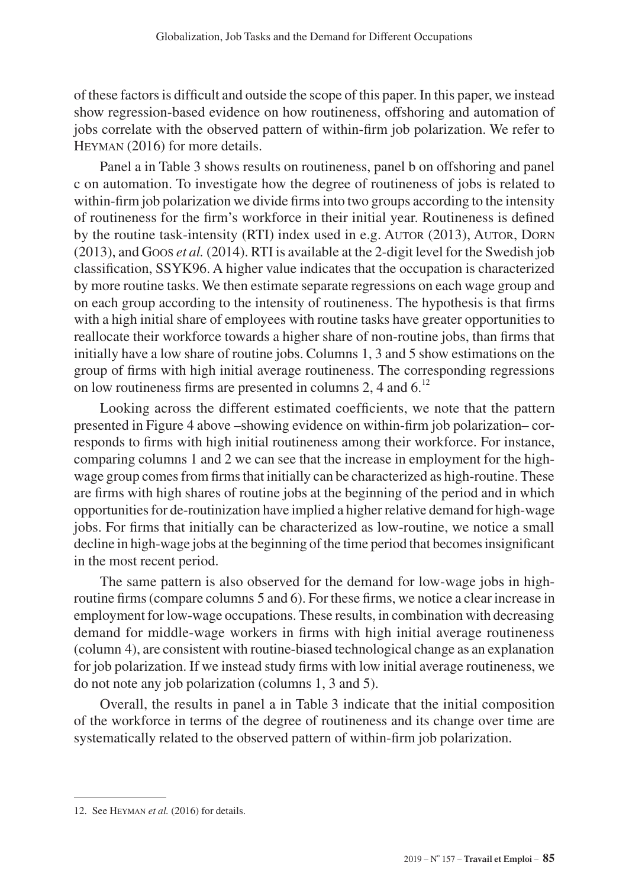of these factors is difficult and outside the scope of this paper. In this paper, we instead show regression-based evidence on how routineness, offshoring and automation of jobs correlate with the observed pattern of within-firm job polarization. We refer to Heyman (2016) for more details.

Panel a in Table 3 shows results on routineness, panel b on offshoring and panel c on automation. To investigate how the degree of routineness of jobs is related to within-firm job polarization we divide firms into two groups according to the intensity of routineness for the firm's workforce in their initial year. Routineness is defined by the routine task-intensity (RTI) index used in e.g. AUTOR (2013), AUTOR, DORN (2013), and Goos *et al.* (2014). RTI is available at the 2-digit level for the Swedish job classification, SSYK96. A higher value indicates that the occupation is characterized by more routine tasks. We then estimate separate regressions on each wage group and on each group according to the intensity of routineness. The hypothesis is that firms with a high initial share of employees with routine tasks have greater opportunities to reallocate their workforce towards a higher share of non-routine jobs, than firms that initially have a low share of routine jobs. Columns 1, 3 and 5 show estimations on the group of firms with high initial average routineness. The corresponding regressions on low routineness firms are presented in columns 2, 4 and  $6<sup>12</sup>$ 

Looking across the different estimated coefficients, we note that the pattern presented in Figure 4 above –showing evidence on within-firm job polarization– corresponds to firms with high initial routineness among their workforce. For instance, comparing columns 1 and 2 we can see that the increase in employment for the highwage group comes from firms that initially can be characterized as high-routine. These are firms with high shares of routine jobs at the beginning of the period and in which opportunities for de-routinization have implied a higher relative demand for high-wage jobs. For firms that initially can be characterized as low-routine, we notice a small decline in high-wage jobs at the beginning of the time period that becomes insignificant in the most recent period.

The same pattern is also observed for the demand for low-wage jobs in highroutine firms (compare columns 5 and 6). For these firms, we notice a clear increase in employment for low-wage occupations. These results, in combination with decreasing demand for middle-wage workers in firms with high initial average routineness (column 4), are consistent with routine-biased technological change as an explanation for job polarization. If we instead study firms with low initial average routineness, we do not note any job polarization (columns 1, 3 and 5).

Overall, the results in panel a in Table 3 indicate that the initial composition of the workforce in terms of the degree of routineness and its change over time are systematically related to the observed pattern of within-firm job polarization.

<sup>12.</sup> See Heyman *et al.* (2016) for details.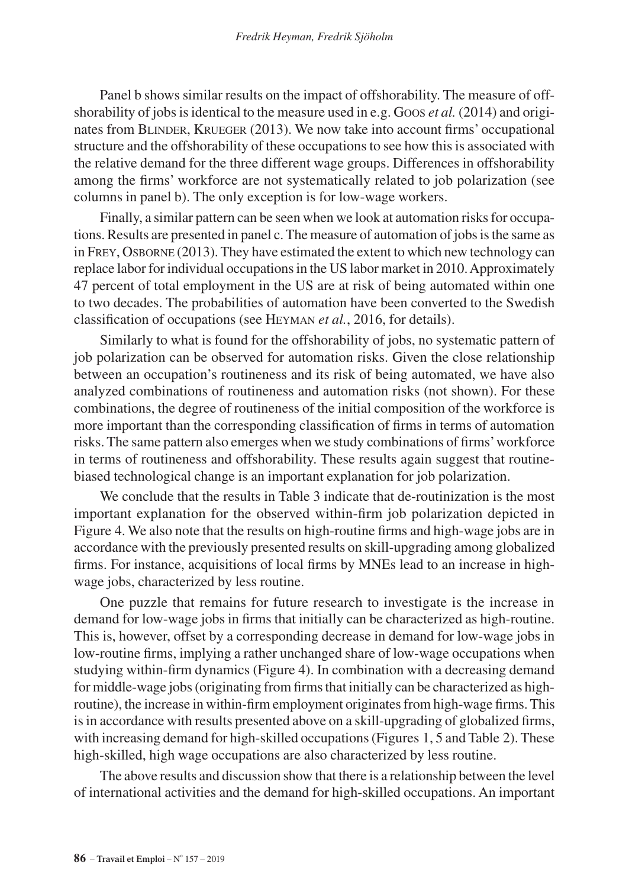Panel b shows similar results on the impact of offshorability. The measure of offshorability of jobs is identical to the measure used in e.g. Goos *et al.* (2014) and originates from BLINDER, KRUEGER (2013). We now take into account firms' occupational structure and the offshorability of these occupations to see how this is associated with the relative demand for the three different wage groups. Differences in offshorability among the firms' workforce are not systematically related to job polarization (see columns in panel b). The only exception is for low-wage workers.

Finally, a similar pattern can be seen when we look at automation risks for occupations. Results are presented in panel c. The measure of automation of jobs is the same as in Frey, Osborne (2013). They have estimated the extent to which new technology can replace labor for individual occupations in the US labor market in 2010. Approximately 47 percent of total employment in the US are at risk of being automated within one to two decades. The probabilities of automation have been converted to the Swedish classification of occupations (see Heyman *et al.*, 2016, for details).

Similarly to what is found for the offshorability of jobs, no systematic pattern of job polarization can be observed for automation risks. Given the close relationship between an occupation's routineness and its risk of being automated, we have also analyzed combinations of routineness and automation risks (not shown). For these combinations, the degree of routineness of the initial composition of the workforce is more important than the corresponding classification of firms in terms of automation risks. The same pattern also emerges when we study combinations of firms' workforce in terms of routineness and offshorability. These results again suggest that routinebiased technological change is an important explanation for job polarization.

We conclude that the results in Table 3 indicate that de-routinization is the most important explanation for the observed within-firm job polarization depicted in Figure 4. We also note that the results on high-routine firms and high-wage jobs are in accordance with the previously presented results on skill-upgrading among globalized firms. For instance, acquisitions of local firms by MNEs lead to an increase in highwage jobs, characterized by less routine.

One puzzle that remains for future research to investigate is the increase in demand for low-wage jobs in firms that initially can be characterized as high-routine. This is, however, offset by a corresponding decrease in demand for low-wage jobs in low-routine firms, implying a rather unchanged share of low-wage occupations when studying within-firm dynamics (Figure 4). In combination with a decreasing demand for middle-wage jobs (originating from firms that initially can be characterized as highroutine), the increase in within-firm employment originates from high-wage firms. This is in accordance with results presented above on a skill-upgrading of globalized firms, with increasing demand for high-skilled occupations (Figures 1, 5 and Table 2). These high-skilled, high wage occupations are also characterized by less routine.

The above results and discussion show that there is a relationship between the level of international activities and the demand for high-skilled occupations. An important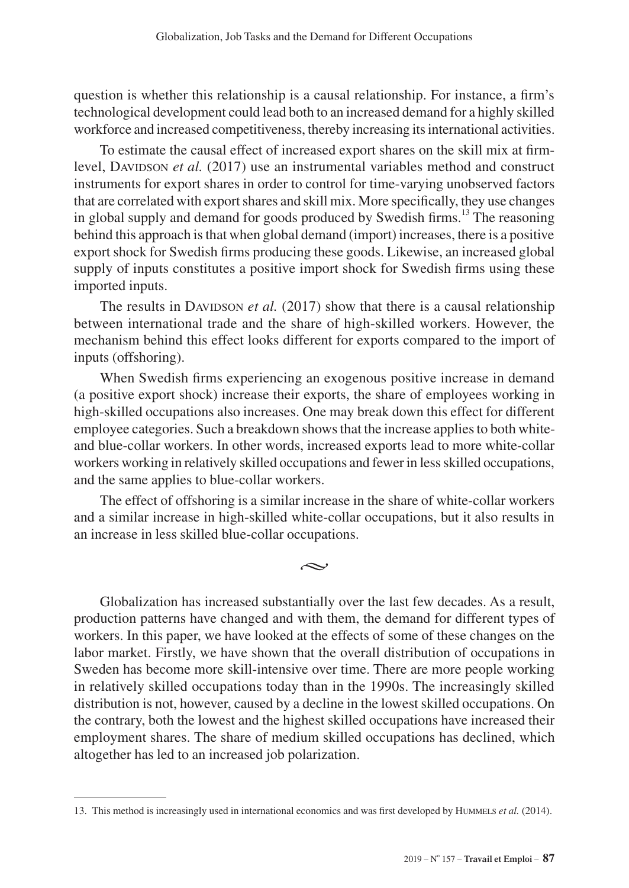question is whether this relationship is a causal relationship. For instance, a firm's technological development could lead both to an increased demand for a highly skilled workforce and increased competitiveness, thereby increasing its international activities.

To estimate the causal effect of increased export shares on the skill mix at firmlevel, Davipson *et al.* (2017) use an instrumental variables method and construct instruments for export shares in order to control for time-varying unobserved factors that are correlated with export shares and skill mix. More specifically, they use changes in global supply and demand for goods produced by Swedish firms.<sup>13</sup> The reasoning behind this approach is that when global demand (import) increases, there is a positive export shock for Swedish firms producing these goods. Likewise, an increased global supply of inputs constitutes a positive import shock for Swedish firms using these imported inputs.

The results in DAVIDSON *et al.* (2017) show that there is a causal relationship between international trade and the share of high-skilled workers. However, the mechanism behind this effect looks different for exports compared to the import of inputs (offshoring).

When Swedish firms experiencing an exogenous positive increase in demand (a positive export shock) increase their exports, the share of employees working in high-skilled occupations also increases. One may break down this effect for different employee categories. Such a breakdown shows that the increase applies to both whiteand blue-collar workers. In other words, increased exports lead to more white-collar workers working in relatively skilled occupations and fewer in less skilled occupations, and the same applies to blue-collar workers.

The effect of offshoring is a similar increase in the share of white-collar workers and a similar increase in high-skilled white-collar occupations, but it also results in an increase in less skilled blue-collar occupations.

 $\sim$ 

Globalization has increased substantially over the last few decades. As a result, production patterns have changed and with them, the demand for different types of workers. In this paper, we have looked at the effects of some of these changes on the labor market. Firstly, we have shown that the overall distribution of occupations in Sweden has become more skill-intensive over time. There are more people working in relatively skilled occupations today than in the 1990s. The increasingly skilled distribution is not, however, caused by a decline in the lowest skilled occupations. On the contrary, both the lowest and the highest skilled occupations have increased their employment shares. The share of medium skilled occupations has declined, which altogether has led to an increased job polarization.

<sup>13.</sup> This method is increasingly used in international economics and was first developed by Hummels *et al.* (2014).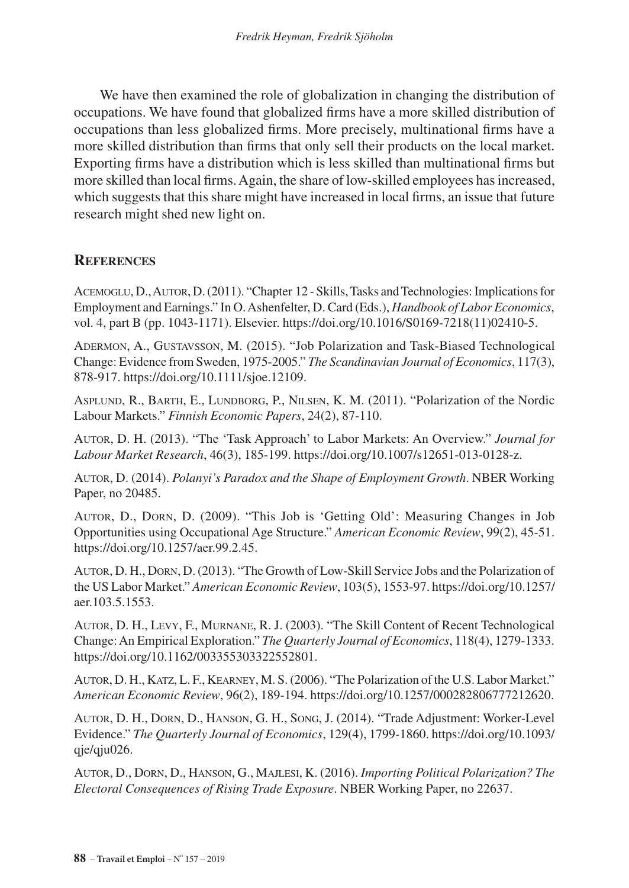We have then examined the role of globalization in changing the distribution of occupations. We have found that globalized firms have a more skilled distribution of occupations than less globalized firms. More precisely, multinational firms have a more skilled distribution than firms that only sell their products on the local market. Exporting firms have a distribution which is less skilled than multinational firms but more skilled than local firms. Again, the share of low-skilled employees has increased, which suggests that this share might have increased in local firms, an issue that future research might shed new light on.

### **References**

Acemoglu, D., Autor, D. (2011). "Chapter 12 - Skills, Tasks and Technologies: Implications for Employment and Earnings." In O. Ashenfelter, D. Card (Eds.), *Handbook of Labor Economics*, vol. 4, part B (pp. 1043-1171). Elsevier. [https://doi.org/10.1016/S0169-7218\(11\)02410-5.](https://doi.org/10.1016/S0169-7218(11)02410-5)

Adermon, A., Gustavsson, M. (2015). "Job Polarization and Task-Biased Technological Change: Evidence from Sweden, 1975-2005." *The Scandinavian Journal of Economics*, 117(3), 878-917. [https://doi.org/10.1111/sjoe.12109.](https://doi.org/10.1111/sjoe.12109)

Asplund, R., Barth, E., Lundborg, P., Nilsen, K. M. (2011). "Polarization of the Nordic Labour Markets." *Finnish Economic Papers*, 24(2), 87-110.

Autor, D. H. (2013). "The 'Task Approach' to Labor Markets: An Overview." *Journal for Labour Market Research*, 46(3), 185-199. [https://doi.org/10.1007/s12651-013-0128-z.](https://doi.org/10.1007/s12651-013-0128-z)

Autor, D. (2014). *Polanyi's Paradox and the Shape of Employment Growth*. NBER Working Paper, no 20485.

Autor, D., Dorn, D. (2009). "This Job is 'Getting Old': Measuring Changes in Job Opportunities using Occupational Age Structure." *American Economic Review*, 99(2), 45-51. <https://doi.org/10.1257/aer.99.2.45>.

Autor, D. H., Dorn, D. (2013). "The Growth of Low-Skill Service Jobs and the Polarization of the US Labor Market." *American Economic Review*, 103(5), 1553-97. [https://doi.org/10.1257/](https://doi.org/10.1257/aer.103.5.1553) [aer.103.5.1553.](https://doi.org/10.1257/aer.103.5.1553)

Autor, D. H., Levy, F., Murnane, R. J. (2003). "The Skill Content of Recent Technological Change: An Empirical Exploration." *The Quarterly Journal of Economics*, 118(4), 1279-1333. [https://doi.org/10.1162/003355303322552801.](https://doi.org/10.1162/003355303322552801)

Autor, D. H., Katz, L. F., Kearney, M. S. (2006). "The Polarization of the U.S. Labor Market." *American Economic Review*, 96(2), 189-194.<https://doi.org/10.1257/000282806777212620>.

Autor, D. H., Dorn, D., Hanson, G. H., Song, J. (2014). "Trade Adjustment: Worker-Level Evidence." *The Quarterly Journal of Economics*, 129(4), 1799-1860. [https://doi.org/10.1093/](https://doi.org/10.1093/qje/qju026) [qje/qju026](https://doi.org/10.1093/qje/qju026).

Autor, D., Dorn, D., Hanson, G., Majlesi, K. (2016). *Importing Political Polarization? The Electoral Consequences of Rising Trade Exposure*. NBER Working Paper, no 22637.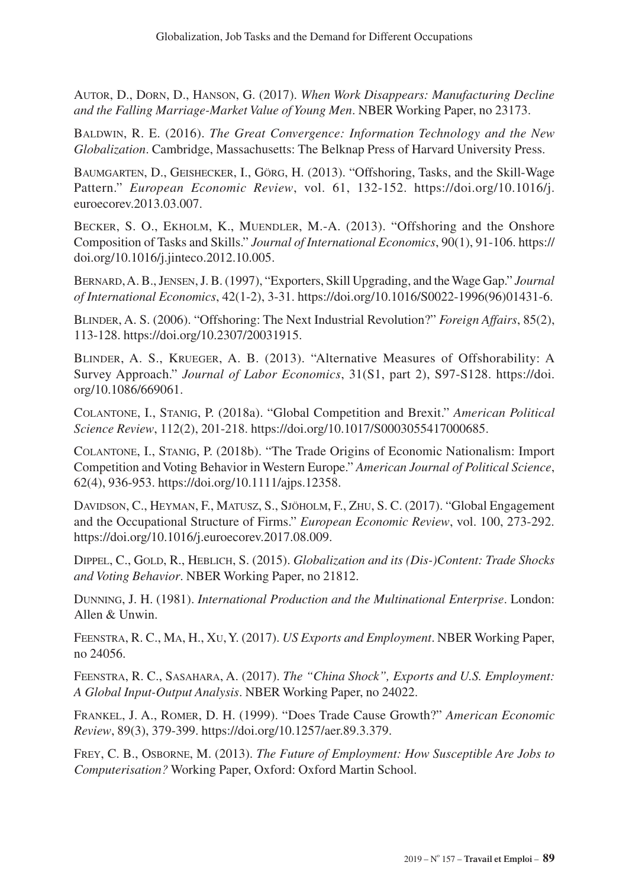Autor, D., Dorn, D., Hanson, G. (2017). *When Work Disappears: Manufacturing Decline and the Falling Marriage-Market Value of Young Men*. NBER Working Paper, no 23173.

Baldwin, R. E. (2016). *The Great Convergence: Information Technology and the New Globalization*. Cambridge, Massachusetts: The Belknap Press of Harvard University Press.

Baumgarten, D., Geishecker, I., Görg, H. (2013). "Offshoring, Tasks, and the Skill-Wage Pattern." *European Economic Review*, vol. 61, 132-152. [https://doi.org/10.1016/j.](https://doi.org/10.1016/j.euroecorev.2013.03.007) [euroecorev.2013.03.007.](https://doi.org/10.1016/j.euroecorev.2013.03.007)

Becker, S. O., Ekholm, K., Muendler, M.-A. (2013). "Offshoring and the Onshore Composition of Tasks and Skills." *Journal of International Economics*, 90(1), 91-106. [https://](https://doi.org/10.1016/j.jinteco.2012.10.005) [doi.org/10.1016/j.jinteco.2012.10.005](https://doi.org/10.1016/j.jinteco.2012.10.005).

Bernard, A. B., Jensen, J. B. (1997), "Exporters, Skill Upgrading, and the Wage Gap." *Journal of International Economics*, 42(1-2), 3-31. [https://doi.org/10.1016/S0022-1996\(96\)01431-6](https://doi.org/10.1016/S0022-1996(96)01431-6).

Blinder, A. S. (2006). "Offshoring: The Next Industrial Revolution?" *Foreign Affairs*, 85(2), 113-128.<https://doi.org/10.2307/20031915>.

Blinder, A. S., Krueger, A. B. (2013). "Alternative Measures of Offshorability: A Survey Approach." *Journal of Labor Economics*, 31(S1, part 2), S97-S128. [https://doi.](https://doi.org/10.1086/669061) [org/10.1086/669061.](https://doi.org/10.1086/669061)

Colantone, I., Stanig, P. (2018a). "Global Competition and Brexit." *American Political Science Review*, 112(2), 201-218.<https://doi.org/10.1017/S0003055417000685>.

Colantone, I., Stanig, P. (2018b). "The Trade Origins of Economic Nationalism: Import Competition and Voting Behavior in Western Europe." *American Journal of Political Science*, 62(4), 936-953.<https://doi.org/10.1111/ajps.12358>.

Davidson, C., Heyman, F., Matusz, S., Sjöholm, F., Zhu, S. C. (2017). "Global Engagement and the Occupational Structure of Firms." *European Economic Review*, vol. 100, 273-292. <https://doi.org/10.1016/j.euroecorev.2017.08.009>.

DIPPEL, C., GOLD, R., HEBLICH, S. (2015). *Globalization and its (Dis-)Content: Trade Shocks and Voting Behavior*. NBER Working Paper, no 21812.

Dunning, J. H. (1981). *International Production and the Multinational Enterprise*. London: Allen & Unwin.

Feenstra, R. C., Ma, H., Xu, Y. (2017). *US Exports and Employment*. NBER Working Paper, no 24056.

Feenstra, R. C., Sasahara, A. (2017). *The "China Shock", Exports and U.S. Employment: A Global Input-Output Analysis*. NBER Working Paper, no 24022.

Frankel, J. A., Romer, D. H. (1999). "Does Trade Cause Growth?" *American Economic Review*, 89(3), 379-399. [https://doi.org/10.1257/aer.89.3.379.](https://doi.org/10.1257/aer.89.3.379)

Frey, C. B., Osborne, M. (2013). *The Future of Employment: How Susceptible Are Jobs to Computerisation?* Working Paper, Oxford: Oxford Martin School.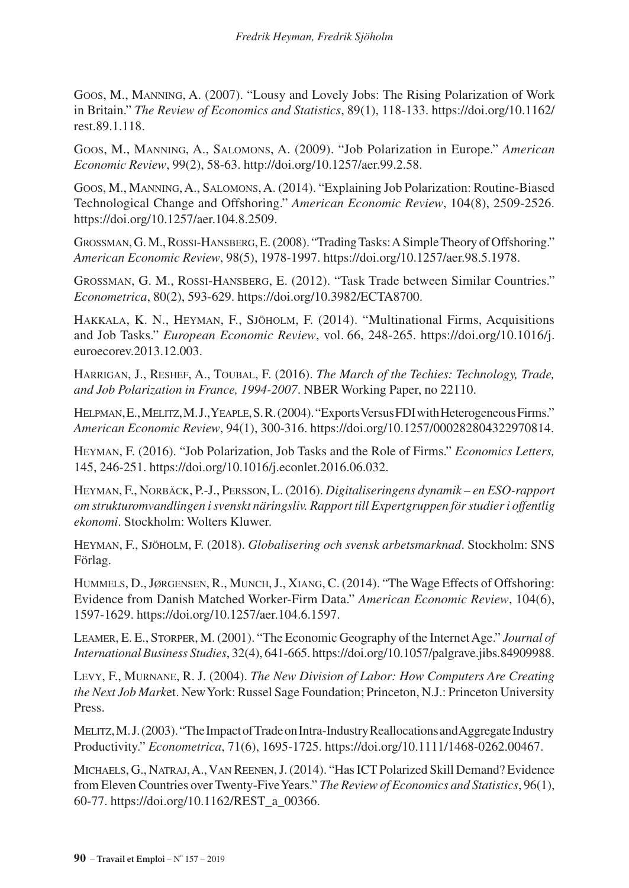Goos, M., Manning, A. (2007). "Lousy and Lovely Jobs: The Rising Polarization of Work in Britain." *The Review of Economics and Statistics*, 89(1), 118-133. [https://doi.org/10.1162/](https://doi.org/10.1162/rest.89.1.118) [rest.89.1.118.](https://doi.org/10.1162/rest.89.1.118)

Goos, M., Manning, A., Salomons, A. (2009). "Job Polarization in Europe." *American Economic Review*, 99(2), 58-63.<http://doi.org/10.1257/aer.99.2.58>.

Goos, M., Manning, A., Salomons, A. (2014). "Explaining Job Polarization: Routine-Biased Technological Change and Offshoring." *American Economic Review*, 104(8), 2509-2526. <https://doi.org/10.1257/aer.104.8.2509>.

Grossman, G. M., Rossi-Hansberg, E. (2008). "Trading Tasks: A Simple Theory of Offshoring." *American Economic Review*, 98(5), 1978-1997.<https://doi.org/10.1257/aer.98.5.1978>.

Grossman, G. M., Rossi-Hansberg, E. (2012). "Task Trade between Similar Countries." *Econometrica*, 80(2), 593-629.<https://doi.org/10.3982/ECTA8700>.

Hakkala, K. N., Heyman, F., Sjöholm, F. (2014). "Multinational Firms, Acquisitions and Job Tasks." *European Economic Review*, vol. 66, 248-265. [https://doi.org/10.1016/j.](https://doi.org/10.1016/j.euroecorev.2013.12.003) [euroecorev.2013.12.003.](https://doi.org/10.1016/j.euroecorev.2013.12.003)

Harrigan, J., Reshef, A., Toubal, F. (2016). *The March of the Techies: Technology, Trade, and Job Polarization in France, 1994-2007*. NBER Working Paper, no 22110.

Helpman, E., Melitz, M. J., Yeaple, S. R. (2004). "Exports Versus FDI with Heterogeneous Firms." *American Economic Review*, 94(1), 300-316.<https://doi.org/10.1257/000282804322970814>.

Heyman, F. (2016). "Job Polarization, Job Tasks and the Role of Firms." *Economics Letters,*  145, 246-251. <https://doi.org/10.1016/j.econlet.2016.06.032>.

Heyman, F., Norbäck, P.-J., Persson, L. (2016). *Digitaliseringens dynamik – en ESO-rapport om strukturomvandlingen i svenskt näringsliv. Rapport till Expertgruppen för studier i offentlig ekonomi*. Stockholm: Wolters Kluwer.

Heyman, F., Sjöholm, F. (2018). *Globalisering och svensk arbetsmarknad*. Stockholm: SNS Förlag.

Hummels, D., Jørgensen, R., Munch, J., Xiang, C. (2014). "The Wage Effects of Offshoring: Evidence from Danish Matched Worker-Firm Data." *American Economic Review*, 104(6), 1597-1629.<https://doi.org/10.1257/aer.104.6.1597>.

Leamer, E. E., Storper, M. (2001). "The Economic Geography of the Internet Age." *Journal of International Business Studies*, 32(4), 641-665. [https://doi.org/10.1057/palgrave.jibs.84909988.](https://doi.org/10.1057/palgrave.jibs.84909988)

Levy, F., Murnane, R. J. (2004). *The New Division of Labor: How Computers Are Creating the Next Job Mark*et. New York: Russel Sage Foundation; Princeton, N.J.: Princeton University Press.

Melitz, M. J. (2003). "The Impact of Trade on Intra-Industry Reallocations and Aggregate Industry Productivity." *Econometrica*, 71(6), 1695-1725.<https://doi.org/10.1111/1468-0262.00467>.

Michaels, G., Natraj, A., Van Reenen, J. (2014). "Has ICT Polarized Skill Demand? Evidence from Eleven Countries over Twenty-Five Years." *The Review of Economics and Statistics*, 96(1), 60-77. [https://doi.org/10.1162/REST\\_a\\_00366.](https://doi.org/10.1162/REST_a_00366)